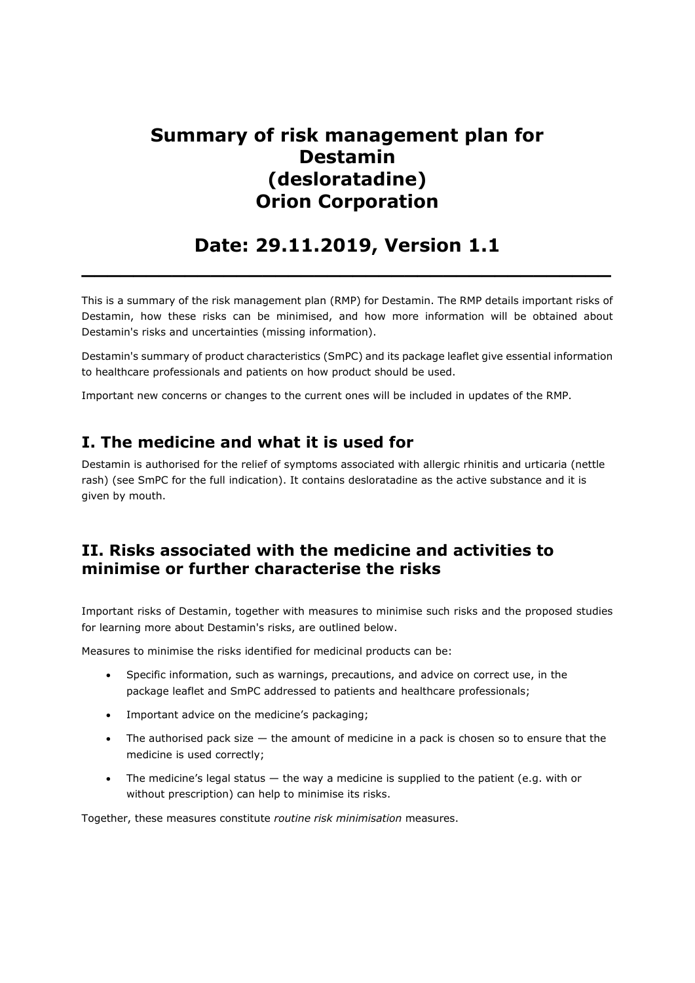# **Summary of risk management plan for Destamin (desloratadine) Orion Corporation**

## **Date: 29.11.2019, Version 1.1 \_\_\_\_\_\_\_\_\_\_\_\_\_\_\_\_\_\_\_\_\_\_\_\_\_\_\_\_\_\_\_\_\_\_\_\_\_\_\_\_\_**

This is a summary of the risk management plan (RMP) for Destamin. The RMP details important risks of Destamin, how these risks can be minimised, and how more information will be obtained about Destamin's risks and uncertainties (missing information).

Destamin's summary of product characteristics (SmPC) and its package leaflet give essential information to healthcare professionals and patients on how product should be used.

Important new concerns or changes to the current ones will be included in updates of the RMP.

## **I. The medicine and what it is used for**

Destamin is authorised for the relief of symptoms associated with allergic rhinitis and urticaria (nettle rash) (see SmPC for the full indication). It contains desloratadine as the active substance and it is given by mouth.

## **II. Risks associated with the medicine and activities to minimise or further characterise the risks**

Important risks of Destamin, together with measures to minimise such risks and the proposed studies for learning more about Destamin's risks, are outlined below.

Measures to minimise the risks identified for medicinal products can be:

- Specific information, such as warnings, precautions, and advice on correct use, in the package leaflet and SmPC addressed to patients and healthcare professionals;
- Important advice on the medicine's packaging;
- The authorised pack size the amount of medicine in a pack is chosen so to ensure that the medicine is used correctly;
- The medicine's legal status the way a medicine is supplied to the patient (e.g. with or without prescription) can help to minimise its risks.

Together, these measures constitute *routine risk minimisation* measures.